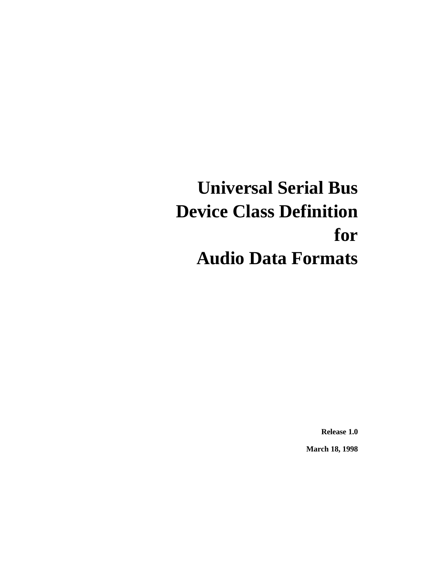# **Universal Serial Bus Device Class Definition for Audio Data Formats**

**Release 1.0**

**March 18, 1998**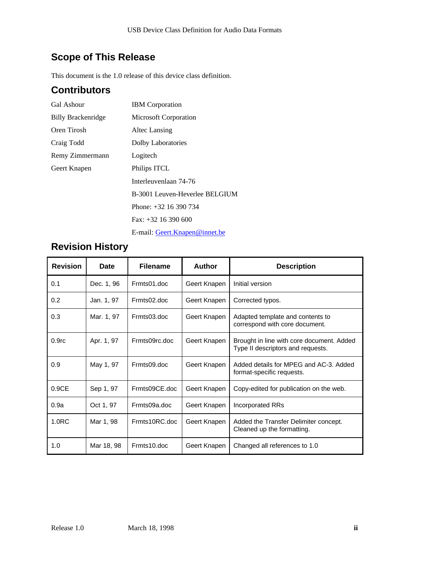# **Scope of This Release**

This document is the 1.0 release of this device class definition.

# **Contributors**

| <b>Gal Ashour</b>         | <b>IBM</b> Corporation         |
|---------------------------|--------------------------------|
| <b>Billy Brackenridge</b> | Microsoft Corporation          |
| Oren Tirosh               | Altec Lansing                  |
| Craig Todd                | Dolby Laboratories             |
| Remy Zimmermann           | Logitech                       |
| Geert Knapen              | Philips ITCL                   |
|                           | Interleuvenlaan 74-76          |
|                           | B-3001 Leuven-Heverlee BELGIUM |
|                           | Phone: $+32$ 16 390 734        |
|                           | $Fax: +32 16 390 600$          |
|                           | E-mail: Geert.Knapen@innet.be  |

# **Revision History**

| <b>Revision</b>   | Date       | <b>Filename</b> | <b>Author</b> | <b>Description</b>                                                             |
|-------------------|------------|-----------------|---------------|--------------------------------------------------------------------------------|
| 0.1               | Dec. 1, 96 | Frmts01.doc     | Geert Knapen  | Initial version                                                                |
| 0.2               | Jan. 1, 97 | Frmts02.doc     | Geert Knapen  | Corrected typos.                                                               |
| 0.3               | Mar. 1, 97 | Frmts03.doc     | Geert Knapen  | Adapted template and contents to<br>correspond with core document.             |
| 0.9 <sub>rc</sub> | Apr. 1, 97 | Frmts09rc.doc   | Geert Knapen  | Brought in line with core document. Added<br>Type II descriptors and requests. |
| 0.9               | May 1, 97  | Frmts09.doc     | Geert Knapen  | Added details for MPEG and AC-3. Added<br>format-specific requests.            |
| 0.9CE             | Sep 1, 97  | Frmts09CE.doc   | Geert Knapen  | Copy-edited for publication on the web.                                        |
| 0.9a              | Oct 1, 97  | Frmts09a.doc    | Geert Knapen  | <b>Incorporated RRs</b>                                                        |
| 1.0 <sub>RC</sub> | Mar 1, 98  | Frmts10RC.doc   | Geert Knapen  | Added the Transfer Delimiter concept.<br>Cleaned up the formatting.            |
| 1.0               | Mar 18, 98 | Frmts10.doc     | Geert Knapen  | Changed all references to 1.0                                                  |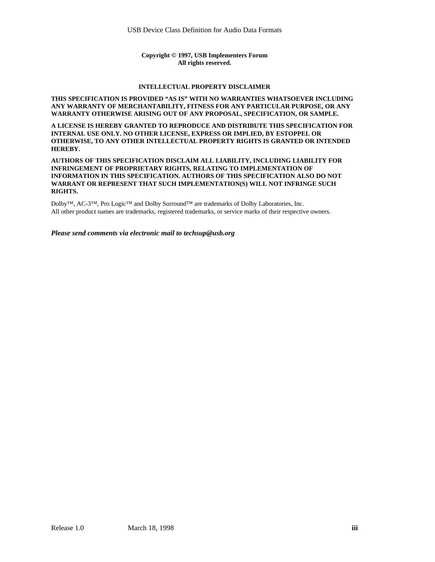#### **Copyright © 1997, USB Implementers Forum All rights reserved.**

#### **INTELLECTUAL PROPERTY DISCLAIMER**

#### **THIS SPECIFICATION IS PROVIDED "AS IS" WITH NO WARRANTIES WHATSOEVER INCLUDING ANY WARRANTY OF MERCHANTABILITY, FITNESS FOR ANY PARTICULAR PURPOSE, OR ANY WARRANTY OTHERWISE ARISING OUT OF ANY PROPOSAL, SPECIFICATION, OR SAMPLE.**

**A LICENSE IS HEREBY GRANTED TO REPRODUCE AND DISTRIBUTE THIS SPECIFICATION FOR INTERNAL USE ONLY. NO OTHER LICENSE, EXPRESS OR IMPLIED, BY ESTOPPEL OR OTHERWISE, TO ANY OTHER INTELLECTUAL PROPERTY RIGHTS IS GRANTED OR INTENDED HEREBY.**

#### **AUTHORS OF THIS SPECIFICATION DISCLAIM ALL LIABILITY, INCLUDING LIABILITY FOR INFRINGEMENT OF PROPRIETARY RIGHTS, RELATING TO IMPLEMENTATION OF INFORMATION IN THIS SPECIFICATION. AUTHORS OF THIS SPECIFICATION ALSO DO NOT WARRANT OR REPRESENT THAT SUCH IMPLEMENTATION(S) WILL NOT INFRINGE SUCH RIGHTS.**

Dolby™, AC-3™, Pro Logic™ and Dolby Surround™ are trademarks of Dolby Laboratories, Inc. All other product names are trademarks, registered trademarks, or service marks of their respective owners.

#### *Please send comments via electronic mail to techsup@usb.org*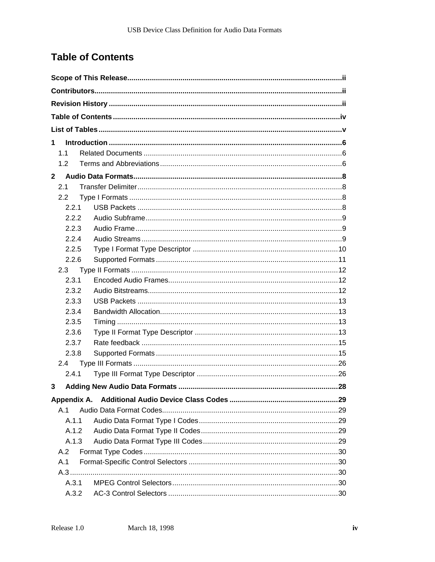# **Table of Contents**

| 1.           |  |
|--------------|--|
| 1.1          |  |
| 1.2          |  |
| $\mathbf{2}$ |  |
| 2.1          |  |
| 2.2          |  |
| 2.2.1        |  |
| 2.2.2        |  |
| 2.2.3        |  |
| 2.2.4        |  |
| 2.2.5        |  |
| 2.2.6        |  |
| 2.3          |  |
| 2.3.1        |  |
| 2.3.2        |  |
| 2.3.3        |  |
| 2.3.4        |  |
| 2.3.5        |  |
| 2.3.6        |  |
| 2.3.7        |  |
| 2.3.8        |  |
| 2.4          |  |
| 2.4.1        |  |
| 3            |  |
|              |  |
| A.1          |  |
| A.1.1        |  |
| A.1.2        |  |
| A.1.3        |  |
| A.2          |  |
| A.1          |  |
|              |  |
| A.3.1        |  |
| A.3.2        |  |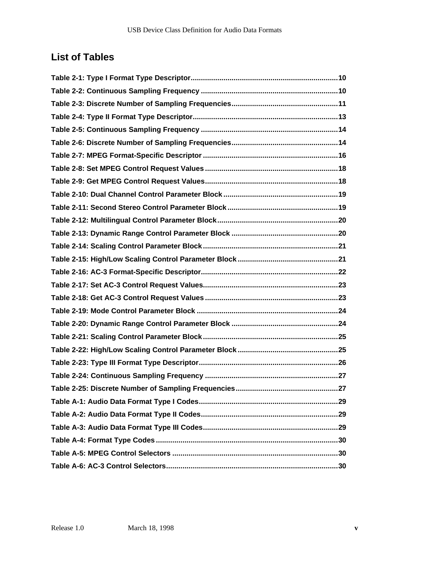# **List of Tables**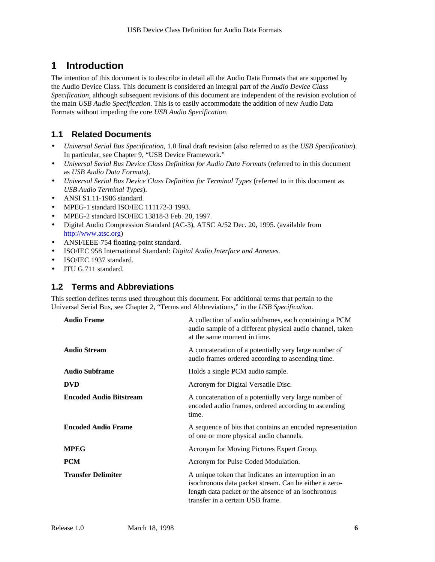# **1 Introduction**

The intention of this document is to describe in detail all the Audio Data Formats that are supported by the Audio Device Class. This document is considered an integral part of *the Audio Device Class Specification*, although subsequent revisions of this document are independent of the revision evolution of the main *USB Audio Specification*. This is to easily accommodate the addition of new Audio Data Formats without impeding the core *USB Audio Specification*.

# **1.1 Related Documents**

- *Universal Serial Bus Specification*, 1.0 final draft revision (also referred to as the *USB Specification*). In particular, see Chapter 9, "USB Device Framework."
- *Universal Serial Bus Device Class Definition for Audio Data Formats* (referred to in this document as *USB Audio Data Formats*).
- *Universal Serial Bus Device Class Definition for Terminal Types* (referred to in this document as *USB Audio Terminal Types*).
- ANSI S1.11-1986 standard.
- MPEG-1 standard ISO/IEC 111172-3 1993.
- MPEG-2 standard ISO/IEC 13818-3 Feb. 20, 1997.
- Digital Audio Compression Standard (AC-3), ATSC A/52 Dec. 20, 1995. (available from http://www.atsc.org)
- ANSI/IEEE-754 floating-point standard.
- ISO/IEC 958 International Standard: *Digital Audio Interface and Annexes.*
- ISO/IEC 1937 standard.
- ITU G.711 standard.

#### **1.2 Terms and Abbreviations**

This section defines terms used throughout this document. For additional terms that pertain to the Universal Serial Bus, see Chapter 2, "Terms and Abbreviations," in the *USB Specification*.

| <b>Audio Frame</b>             | A collection of audio subframes, each containing a PCM<br>audio sample of a different physical audio channel, taken<br>at the same moment in time.                                                      |
|--------------------------------|---------------------------------------------------------------------------------------------------------------------------------------------------------------------------------------------------------|
| <b>Audio Stream</b>            | A concatenation of a potentially very large number of<br>audio frames ordered according to ascending time.                                                                                              |
| <b>Audio Subframe</b>          | Holds a single PCM audio sample.                                                                                                                                                                        |
| <b>DVD</b>                     | Acronym for Digital Versatile Disc.                                                                                                                                                                     |
| <b>Encoded Audio Bitstream</b> | A concatenation of a potentially very large number of<br>encoded audio frames, ordered according to ascending<br>time.                                                                                  |
| <b>Encoded Audio Frame</b>     | A sequence of bits that contains an encoded representation<br>of one or more physical audio channels.                                                                                                   |
| <b>MPEG</b>                    | Acronym for Moving Pictures Expert Group.                                                                                                                                                               |
| <b>PCM</b>                     | Acronym for Pulse Coded Modulation.                                                                                                                                                                     |
| <b>Transfer Delimiter</b>      | A unique token that indicates an interruption in an<br>isochronous data packet stream. Can be either a zero-<br>length data packet or the absence of an isochronous<br>transfer in a certain USB frame. |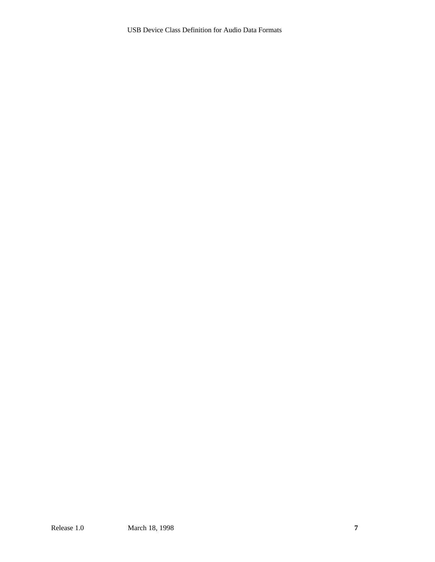USB Device Class Definition for Audio Data Formats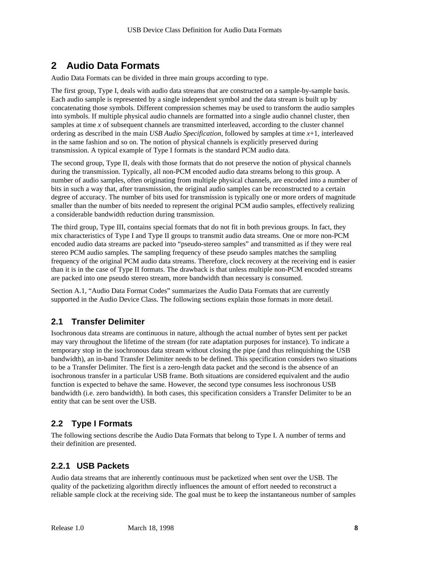# **2 Audio Data Formats**

Audio Data Formats can be divided in three main groups according to type.

The first group, Type I, deals with audio data streams that are constructed on a sample-by-sample basis. Each audio sample is represented by a single independent symbol and the data stream is built up by concatenating those symbols. Different compression schemes may be used to transform the audio samples into symbols. If multiple physical audio channels are formatted into a single audio channel cluster, then samples at time *x* of subsequent channels are transmitted interleaved, according to the cluster channel ordering as described in the main *USB Audio Specification*, followed by samples at time *x*+1, interleaved in the same fashion and so on. The notion of physical channels is explicitly preserved during transmission. A typical example of Type I formats is the standard PCM audio data.

The second group, Type II, deals with those formats that do not preserve the notion of physical channels during the transmission. Typically, all non-PCM encoded audio data streams belong to this group. A number of audio samples, often originating from multiple physical channels, are encoded into a number of bits in such a way that, after transmission, the original audio samples can be reconstructed to a certain degree of accuracy. The number of bits used for transmission is typically one or more orders of magnitude smaller than the number of bits needed to represent the original PCM audio samples, effectively realizing a considerable bandwidth reduction during transmission.

The third group, Type III, contains special formats that do not fit in both previous groups. In fact, they mix characteristics of Type I and Type II groups to transmit audio data streams. One or more non-PCM encoded audio data streams are packed into "pseudo-stereo samples" and transmitted as if they were real stereo PCM audio samples. The sampling frequency of these pseudo samples matches the sampling frequency of the original PCM audio data streams. Therefore, clock recovery at the receiving end is easier than it is in the case of Type II formats. The drawback is that unless multiple non-PCM encoded streams are packed into one pseudo stereo stream, more bandwidth than necessary is consumed.

Section A.1, "Audio Data Format Codes" summarizes the Audio Data Formats that are currently supported in the Audio Device Class. The following sections explain those formats in more detail.

# **2.1 Transfer Delimiter**

Isochronous data streams are continuous in nature, although the actual number of bytes sent per packet may vary throughout the lifetime of the stream (for rate adaptation purposes for instance). To indicate a temporary stop in the isochronous data stream without closing the pipe (and thus relinquishing the USB bandwidth), an in-band Transfer Delimiter needs to be defined. This specification considers two situations to be a Transfer Delimiter. The first is a zero-length data packet and the second is the absence of an isochronous transfer in a particular USB frame. Both situations are considered equivalent and the audio function is expected to behave the same. However, the second type consumes less isochronous USB bandwidth (i.e. zero bandwidth). In both cases, this specification considers a Transfer Delimiter to be an entity that can be sent over the USB.

#### **2.2 Type I Formats**

The following sections describe the Audio Data Formats that belong to Type I. A number of terms and their definition are presented.

#### **2.2.1 USB Packets**

Audio data streams that are inherently continuous must be packetized when sent over the USB. The quality of the packetizing algorithm directly influences the amount of effort needed to reconstruct a reliable sample clock at the receiving side. The goal must be to keep the instantaneous number of samples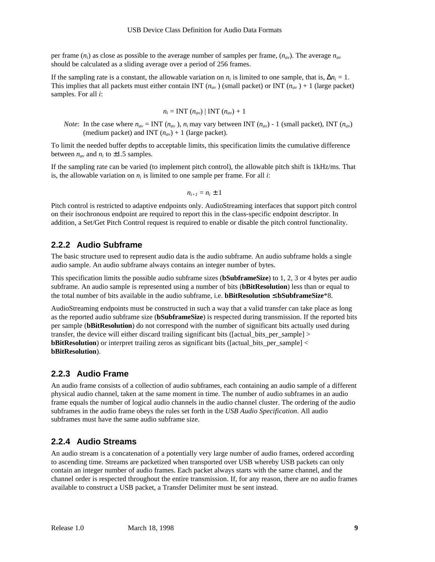per frame  $(n_i)$  as close as possible to the average number of samples per frame,  $(n_{av})$ . The average  $n_{av}$ should be calculated as a sliding average over a period of 256 frames.

If the sampling rate is a constant, the allowable variation on  $n_i$  is limited to one sample, that is,  $\Delta n_i = 1$ . This implies that all packets must either contain INT  $(n_{av})$  (small packet) or INT  $(n_{av}) + 1$  (large packet) samples. For all *i*:

$$
n_i = \text{INT} (n_{av}) \mid \text{INT} (n_{av}) + 1
$$

*Note*: In the case where  $n_{av} = \text{INT}(n_{av})$ ,  $n_i$  may vary between INT  $(n_{av})$  - 1 (small packet), INT  $(n_{av})$ (medium packet) and INT  $(n_{av}) + 1$  (large packet).

To limit the needed buffer depths to acceptable limits, this specification limits the cumulative difference between  $n_{av}$  and  $n_i$  to  $\pm 1.5$  samples.

If the sampling rate can be varied (to implement pitch control), the allowable pitch shift is 1kHz/ms. That is, the allowable variation on  $n_i$  is limited to one sample per frame. For all *i*:

$$
n_{i+1}=n_i\pm 1
$$

Pitch control is restricted to adaptive endpoints only. AudioStreaming interfaces that support pitch control on their isochronous endpoint are required to report this in the class-specific endpoint descriptor. In addition, a Set/Get Pitch Control request is required to enable or disable the pitch control functionality.

#### **2.2.2 Audio Subframe**

The basic structure used to represent audio data is the audio subframe. An audio subframe holds a single audio sample. An audio subframe always contains an integer number of bytes.

This specification limits the possible audio subframe sizes (**bSubframeSize**) to 1, 2, 3 or 4 bytes per audio subframe. An audio sample is represented using a number of bits (**bBitResolution**) less than or equal to the total number of bits available in the audio subframe, i.e. **bBitResolution** ≤ **bSubframeSize**\*8.

AudioStreaming endpoints must be constructed in such a way that a valid transfer can take place as long as the reported audio subframe size (**bSubframeSize**) is respected during transmission. If the reported bits per sample (**bBitResolution**) do not correspond with the number of significant bits actually used during transfer, the device will either discard trailing significant bits ( $[actual\_bits\_per\_sample] >$ **bBitResolution**) or interpret trailing zeros as significant bits ([actual\_bits\_per\_sample] < **bBitResolution**).

#### **2.2.3 Audio Frame**

An audio frame consists of a collection of audio subframes, each containing an audio sample of a different physical audio channel, taken at the same moment in time. The number of audio subframes in an audio frame equals the number of logical audio channels in the audio channel cluster. The ordering of the audio subframes in the audio frame obeys the rules set forth in the *USB Audio Specification*. All audio subframes must have the same audio subframe size.

#### **2.2.4 Audio Streams**

An audio stream is a concatenation of a potentially very large number of audio frames, ordered according to ascending time. Streams are packetized when transported over USB whereby USB packets can only contain an integer number of audio frames. Each packet always starts with the same channel, and the channel order is respected throughout the entire transmission. If, for any reason, there are no audio frames available to construct a USB packet, a Transfer Delimiter must be sent instead.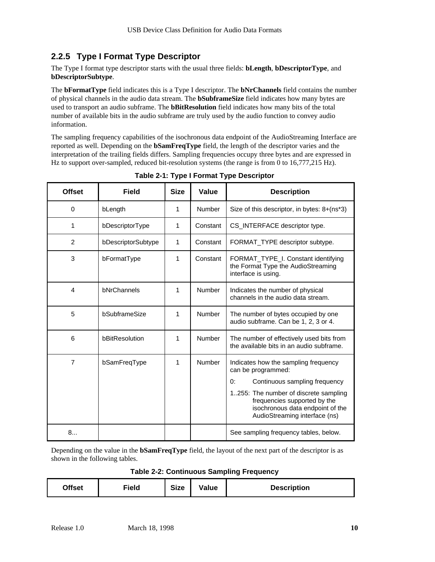# **2.2.5 Type I Format Type Descriptor**

The Type I format type descriptor starts with the usual three fields: **bLength**, **bDescriptorType**, and **bDescriptorSubtype**.

The **bFormatType** field indicates this is a Type I descriptor. The **bNrChannels** field contains the number of physical channels in the audio data stream. The **bSubframeSize** field indicates how many bytes are used to transport an audio subframe. The **bBitResolution** field indicates how many bits of the total number of available bits in the audio subframe are truly used by the audio function to convey audio information.

The sampling frequency capabilities of the isochronous data endpoint of the AudioStreaming Interface are reported as well. Depending on the **bSamFreqType** field, the length of the descriptor varies and the interpretation of the trailing fields differs. Sampling frequencies occupy three bytes and are expressed in Hz to support over-sampled, reduced bit-resolution systems (the range is from 0 to 16,777,215 Hz).

| <b>Offset</b>  | <b>Field</b>       | <b>Size</b>  | Value    | <b>Description</b>                                                                                                                                                                                                                              |  |
|----------------|--------------------|--------------|----------|-------------------------------------------------------------------------------------------------------------------------------------------------------------------------------------------------------------------------------------------------|--|
| $\mathbf 0$    | bLength            | $\mathbf{1}$ | Number   | Size of this descriptor, in bytes: 8+(ns*3)                                                                                                                                                                                                     |  |
| 1              | bDescriptorType    | 1            | Constant | CS_INTERFACE descriptor type.                                                                                                                                                                                                                   |  |
| $\overline{2}$ | bDescriptorSubtype | 1            | Constant | FORMAT TYPE descriptor subtype.                                                                                                                                                                                                                 |  |
| 3              | bFormatType        | 1            | Constant | FORMAT_TYPE_I. Constant identifying<br>the Format Type the AudioStreaming<br>interface is using.                                                                                                                                                |  |
| 4              | bNrChannels        | 1            | Number   | Indicates the number of physical<br>channels in the audio data stream.                                                                                                                                                                          |  |
| 5              | bSubframeSize      | 1            | Number   | The number of bytes occupied by one<br>audio subframe. Can be 1, 2, 3 or 4.                                                                                                                                                                     |  |
| 6              | bBitResolution     | 1            | Number   | The number of effectively used bits from<br>the available bits in an audio subframe.                                                                                                                                                            |  |
| $\overline{7}$ | bSamFreqType       | 1            | Number   | Indicates how the sampling frequency<br>can be programmed:<br>Continuous sampling frequency<br>0:<br>1255: The number of discrete sampling<br>frequencies supported by the<br>isochronous data endpoint of the<br>AudioStreaming interface (ns) |  |
| 8              |                    |              |          | See sampling frequency tables, below.                                                                                                                                                                                                           |  |

**Table 2-1: Type I Format Type Descriptor**

Depending on the value in the **bSamFreqType** field, the layout of the next part of the descriptor is as shown in the following tables.

**Table 2-2: Continuous Sampling Frequency**

| Offset | Field | <b>Size</b> | Value | <b>Description</b> |
|--------|-------|-------------|-------|--------------------|
|--------|-------|-------------|-------|--------------------|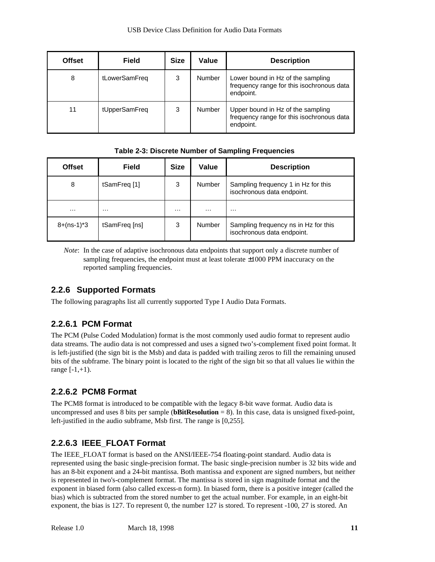| <b>Offset</b> | <b>Field</b>  | <b>Size</b> | Value  | <b>Description</b>                                                                          |
|---------------|---------------|-------------|--------|---------------------------------------------------------------------------------------------|
| 8             | tLowerSamFreg | 3           | Number | Lower bound in Hz of the sampling<br>frequency range for this isochronous data<br>endpoint. |
| 11            | tUpperSamFreg | 3           | Number | Upper bound in Hz of the sampling<br>frequency range for this isochronous data<br>endpoint. |

**Table 2-3: Discrete Number of Sampling Frequencies**

| <b>Offset</b> | <b>Field</b>  | <b>Size</b> | Value    | <b>Description</b>                                                 |
|---------------|---------------|-------------|----------|--------------------------------------------------------------------|
| 8             | tSamFreg [1]  | 3           | Number   | Sampling frequency 1 in Hz for this<br>isochronous data endpoint.  |
| $\cdots$      | $\cdots$      | .           | $\cdots$ | .                                                                  |
| $8+(ns-1)*3$  | tSamFreg [ns] | 3           | Number   | Sampling frequency ns in Hz for this<br>isochronous data endpoint. |

*Note*: In the case of adaptive isochronous data endpoints that support only a discrete number of sampling frequencies, the endpoint must at least tolerate  $\pm 1000$  PPM inaccuracy on the reported sampling frequencies.

# **2.2.6 Supported Formats**

The following paragraphs list all currently supported Type I Audio Data Formats.

# **2.2.6.1 PCM Format**

The PCM (Pulse Coded Modulation) format is the most commonly used audio format to represent audio data streams. The audio data is not compressed and uses a signed two's-complement fixed point format. It is left-justified (the sign bit is the Msb) and data is padded with trailing zeros to fill the remaining unused bits of the subframe. The binary point is located to the right of the sign bit so that all values lie within the range  $[-1, +1)$ .

# **2.2.6.2 PCM8 Format**

The PCM8 format is introduced to be compatible with the legacy 8-bit wave format. Audio data is uncompressed and uses 8 bits per sample (**bBitResolution** = 8). In this case, data is unsigned fixed-point, left-justified in the audio subframe, Msb first. The range is [0,255].

# **2.2.6.3 IEEE\_FLOAT Format**

The IEEE\_FLOAT format is based on the ANSI/IEEE-754 floating-point standard. Audio data is represented using the basic single-precision format. The basic single-precision number is 32 bits wide and has an 8-bit exponent and a 24-bit mantissa. Both mantissa and exponent are signed numbers, but neither is represented in two's-complement format. The mantissa is stored in sign magnitude format and the exponent in biased form (also called excess-n form). In biased form, there is a positive integer (called the bias) which is subtracted from the stored number to get the actual number. For example, in an eight-bit exponent, the bias is 127. To represent 0, the number 127 is stored. To represent -100, 27 is stored. An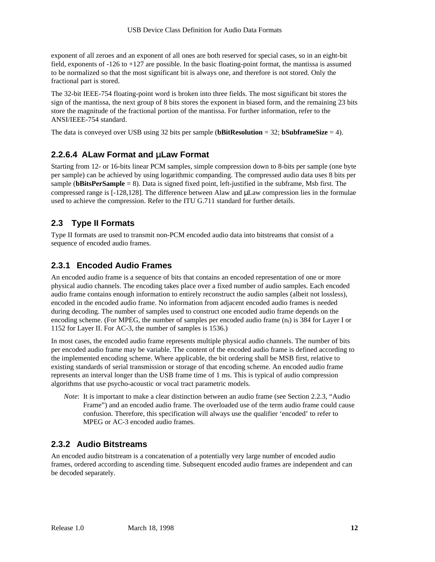exponent of all zeroes and an exponent of all ones are both reserved for special cases, so in an eight-bit field, exponents of -126 to +127 are possible. In the basic floating-point format, the mantissa is assumed to be normalized so that the most significant bit is always one, and therefore is not stored. Only the fractional part is stored.

The 32-bit IEEE-754 floating-point word is broken into three fields. The most significant bit stores the sign of the mantissa, the next group of 8 bits stores the exponent in biased form, and the remaining 23 bits store the magnitude of the fractional portion of the mantissa. For further information, refer to the ANSI/IEEE-754 standard.

The data is conveyed over USB using 32 bits per sample (**bBitResolution** = 32; **bSubframeSize** = 4).

#### **2.2.6.4 ALaw Format and** μ**Law Format**

Starting from 12- or 16-bits linear PCM samples, simple compression down to 8-bits per sample (one byte per sample) can be achieved by using logarithmic companding. The compressed audio data uses 8 bits per sample (**bBitsPerSample** = 8). Data is signed fixed point, left-justified in the subframe, Msb first. The compressed range is [-128,128]. The difference between Alaw and μLaw compression lies in the formulae used to achieve the compression. Refer to the ITU G.711 standard for further details.

# **2.3 Type II Formats**

Type II formats are used to transmit non-PCM encoded audio data into bitstreams that consist of a sequence of encoded audio frames.

### **2.3.1 Encoded Audio Frames**

An encoded audio frame is a sequence of bits that contains an encoded representation of one or more physical audio channels. The encoding takes place over a fixed number of audio samples. Each encoded audio frame contains enough information to entirely reconstruct the audio samples (albeit not lossless), encoded in the encoded audio frame. No information from adjacent encoded audio frames is needed during decoding. The number of samples used to construct one encoded audio frame depends on the encoding scheme. (For MPEG, the number of samples per encoded audio frame  $(n_f)$  is 384 for Layer I or 1152 for Layer II. For AC-3, the number of samples is 1536.)

In most cases, the encoded audio frame represents multiple physical audio channels. The number of bits per encoded audio frame may be variable. The content of the encoded audio frame is defined according to the implemented encoding scheme. Where applicable, the bit ordering shall be MSB first, relative to existing standards of serial transmission or storage of that encoding scheme. An encoded audio frame represents an interval longer than the USB frame time of 1 ms. This is typical of audio compression algorithms that use psycho-acoustic or vocal tract parametric models.

*Note*: It is important to make a clear distinction between an audio frame (see Section 2.2.3, "Audio") Frame") and an encoded audio frame. The overloaded use of the term audio frame could cause confusion. Therefore, this specification will always use the qualifier 'encoded' to refer to MPEG or AC-3 encoded audio frames.

# **2.3.2 Audio Bitstreams**

An encoded audio bitstream is a concatenation of a potentially very large number of encoded audio frames, ordered according to ascending time. Subsequent encoded audio frames are independent and can be decoded separately.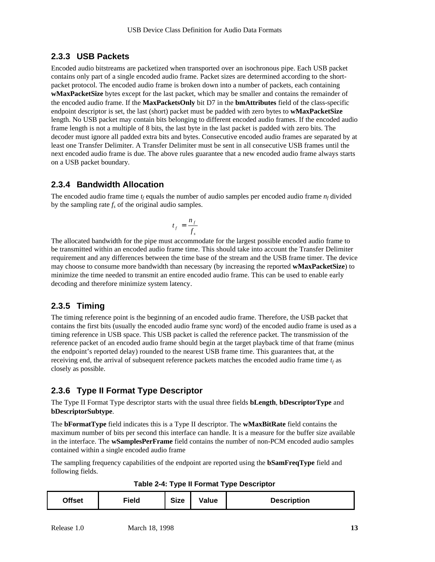#### **2.3.3 USB Packets**

Encoded audio bitstreams are packetized when transported over an isochronous pipe. Each USB packet contains only part of a single encoded audio frame. Packet sizes are determined according to the shortpacket protocol. The encoded audio frame is broken down into a number of packets, each containing **wMaxPacketSize** bytes except for the last packet, which may be smaller and contains the remainder of the encoded audio frame. If the **MaxPacketsOnly** bit D7 in the **bmAttributes** field of the class-specific endpoint descriptor is set, the last (short) packet must be padded with zero bytes to **wMaxPacketSize** length. No USB packet may contain bits belonging to different encoded audio frames. If the encoded audio frame length is not a multiple of 8 bits, the last byte in the last packet is padded with zero bits. The decoder must ignore all padded extra bits and bytes. Consecutive encoded audio frames are separated by at least one Transfer Delimiter. A Transfer Delimiter must be sent in all consecutive USB frames until the next encoded audio frame is due. The above rules guarantee that a new encoded audio frame always starts on a USB packet boundary.

#### **2.3.4 Bandwidth Allocation**

The encoded audio frame time  $t_f$  equals the number of audio samples per encoded audio frame  $n_f$  divided by the sampling rate  $f_s$  of the original audio samples.

$$
t_f = \frac{n_f}{f_s}
$$

The allocated bandwidth for the pipe must accommodate for the largest possible encoded audio frame to be transmitted within an encoded audio frame time. This should take into account the Transfer Delimiter requirement and any differences between the time base of the stream and the USB frame timer. The device may choose to consume more bandwidth than necessary (by increasing the reported **wMaxPacketSize**) to minimize the time needed to transmit an entire encoded audio frame. This can be used to enable early decoding and therefore minimize system latency.

#### **2.3.5 Timing**

The timing reference point is the beginning of an encoded audio frame. Therefore, the USB packet that contains the first bits (usually the encoded audio frame sync word) of the encoded audio frame is used as a timing reference in USB space. This USB packet is called the reference packet. The transmission of the reference packet of an encoded audio frame should begin at the target playback time of that frame (minus the endpoint's reported delay) rounded to the nearest USB frame time. This guarantees that, at the receiving end, the arrival of subsequent reference packets matches the encoded audio frame time *t<sup>f</sup>* as closely as possible.

# **2.3.6 Type II Format Type Descriptor**

The Type II Format Type descriptor starts with the usual three fields **bLength**, **bDescriptorType** and **bDescriptorSubtype**.

The **bFormatType** field indicates this is a Type II descriptor. The **wMaxBitRate** field contains the maximum number of bits per second this interface can handle. It is a measure for the buffer size available in the interface. The **wSamplesPerFrame** field contains the number of non-PCM encoded audio samples contained within a single encoded audio frame

The sampling frequency capabilities of the endpoint are reported using the **bSamFreqType** field and following fields.

|  |  |  |  | Table 2-4: Type II Format Type Descriptor |
|--|--|--|--|-------------------------------------------|
|--|--|--|--|-------------------------------------------|

| <b>Size</b><br>Value<br>Offset<br>Field<br><b>Description</b> |  |  |  |  |  |
|---------------------------------------------------------------|--|--|--|--|--|
|---------------------------------------------------------------|--|--|--|--|--|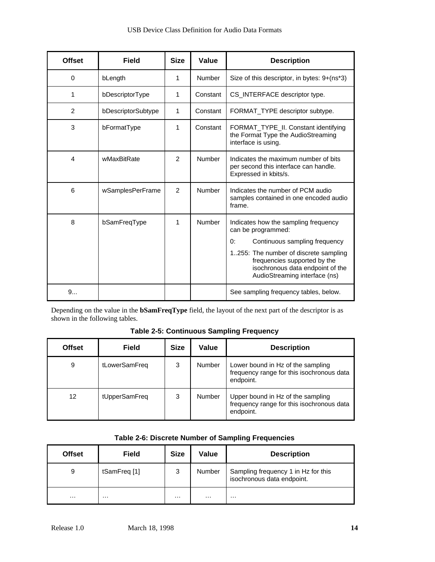| <b>Offset</b> | <b>Field</b>       | <b>Size</b>    | Value    | <b>Description</b>                                                                                                                                                                                                                              |  |
|---------------|--------------------|----------------|----------|-------------------------------------------------------------------------------------------------------------------------------------------------------------------------------------------------------------------------------------------------|--|
| $\Omega$      | bLength            | 1              | Number   | Size of this descriptor, in bytes: 9+(ns*3)                                                                                                                                                                                                     |  |
| 1             | bDescriptorType    | 1              | Constant | CS_INTERFACE descriptor type.                                                                                                                                                                                                                   |  |
| 2             | bDescriptorSubtype | 1              | Constant | FORMAT TYPE descriptor subtype.                                                                                                                                                                                                                 |  |
| 3             | bFormatType        | 1              | Constant | FORMAT_TYPE_II. Constant identifying<br>the Format Type the AudioStreaming<br>interface is using.                                                                                                                                               |  |
| 4             | wMaxBitRate        | $\overline{2}$ | Number   | Indicates the maximum number of bits<br>per second this interface can handle.<br>Expressed in kbits/s.                                                                                                                                          |  |
| 6             | wSamplesPerFrame   | $\overline{2}$ | Number   | Indicates the number of PCM audio<br>samples contained in one encoded audio<br>frame.                                                                                                                                                           |  |
| 8             | bSamFreqType       | 1              | Number   | Indicates how the sampling frequency<br>can be programmed:<br>Continuous sampling frequency<br>0:<br>1255: The number of discrete sampling<br>frequencies supported by the<br>isochronous data endpoint of the<br>AudioStreaming interface (ns) |  |
| 9             |                    |                |          | See sampling frequency tables, below.                                                                                                                                                                                                           |  |

Depending on the value in the **bSamFreqType** field, the layout of the next part of the descriptor is as shown in the following tables.

**Table 2-5: Continuous Sampling Frequency**

| <b>Offset</b> | <b>Field</b>  | <b>Size</b> | Value  | <b>Description</b>                                                                          |
|---------------|---------------|-------------|--------|---------------------------------------------------------------------------------------------|
| 9             | tLowerSamFreg | 3           | Number | Lower bound in Hz of the sampling<br>frequency range for this isochronous data<br>endpoint. |
| 12            | tUpperSamFreg | 3           | Number | Upper bound in Hz of the sampling<br>frequency range for this isochronous data<br>endpoint. |

|  |  | Table 2-6: Discrete Number of Sampling Frequencies |
|--|--|----------------------------------------------------|
|  |  |                                                    |

| <b>Offset</b> | <b>Field</b> | <b>Size</b> | Value    | <b>Description</b>                                                |
|---------------|--------------|-------------|----------|-------------------------------------------------------------------|
| 9             | tSamFreq [1] | 3           | Number   | Sampling frequency 1 in Hz for this<br>isochronous data endpoint. |
| $\cdots$      | $\cdots$     | .           | $\cdots$ | .                                                                 |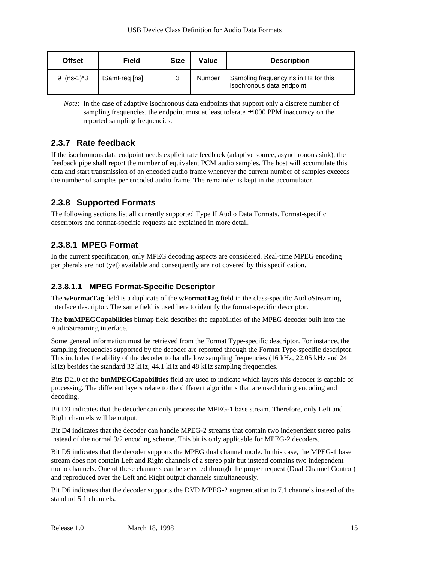| <b>Offset</b> | Field         | <b>Size</b> | Value  | <b>Description</b>                                                 |
|---------------|---------------|-------------|--------|--------------------------------------------------------------------|
| $9+(ns-1)*3$  | tSamFreg [ns] | 2           | Number | Sampling frequency ns in Hz for this<br>isochronous data endpoint. |

*Note*: In the case of adaptive isochronous data endpoints that support only a discrete number of sampling frequencies, the endpoint must at least tolerate  $\pm 1000$  PPM inaccuracy on the reported sampling frequencies.

# **2.3.7 Rate feedback**

If the isochronous data endpoint needs explicit rate feedback (adaptive source, asynchronous sink), the feedback pipe shall report the number of equivalent PCM audio samples. The host will accumulate this data and start transmission of an encoded audio frame whenever the current number of samples exceeds the number of samples per encoded audio frame. The remainder is kept in the accumulator.

# **2.3.8 Supported Formats**

The following sections list all currently supported Type II Audio Data Formats. Format-specific descriptors and format-specific requests are explained in more detail.

# **2.3.8.1 MPEG Format**

In the current specification, only MPEG decoding aspects are considered. Real-time MPEG encoding peripherals are not (yet) available and consequently are not covered by this specification.

#### **2.3.8.1.1 MPEG Format-Specific Descriptor**

The **wFormatTag** field is a duplicate of the **wFormatTag** field in the class-specific AudioStreaming interface descriptor. The same field is used here to identify the format-specific descriptor.

The **bmMPEGCapabilities** bitmap field describes the capabilities of the MPEG decoder built into the AudioStreaming interface.

Some general information must be retrieved from the Format Type-specific descriptor. For instance, the sampling frequencies supported by the decoder are reported through the Format Type-specific descriptor. This includes the ability of the decoder to handle low sampling frequencies (16 kHz, 22.05 kHz and 24 kHz) besides the standard 32 kHz, 44.1 kHz and 48 kHz sampling frequencies.

Bits D2..0 of the **bmMPEGCapabilities** field are used to indicate which layers this decoder is capable of processing. The different layers relate to the different algorithms that are used during encoding and decoding.

Bit D3 indicates that the decoder can only process the MPEG-1 base stream. Therefore, only Left and Right channels will be output.

Bit D4 indicates that the decoder can handle MPEG-2 streams that contain two independent stereo pairs instead of the normal 3/2 encoding scheme. This bit is only applicable for MPEG-2 decoders.

Bit D5 indicates that the decoder supports the MPEG dual channel mode. In this case, the MPEG-1 base stream does not contain Left and Right channels of a stereo pair but instead contains two independent mono channels. One of these channels can be selected through the proper request (Dual Channel Control) and reproduced over the Left and Right output channels simultaneously.

Bit D6 indicates that the decoder supports the DVD MPEG-2 augmentation to 7.1 channels instead of the standard 5.1 channels.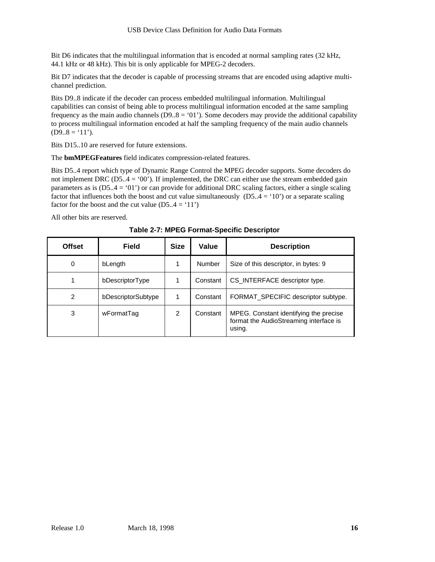Bit D6 indicates that the multilingual information that is encoded at normal sampling rates (32 kHz, 44.1 kHz or 48 kHz). This bit is only applicable for MPEG-2 decoders.

Bit D7 indicates that the decoder is capable of processing streams that are encoded using adaptive multichannel prediction.

Bits D9..8 indicate if the decoder can process embedded multilingual information. Multilingual capabilities can consist of being able to process multilingual information encoded at the same sampling frequency as the main audio channels ( $D9.8 = 01'$ ). Some decoders may provide the additional capability to process multilingual information encoded at half the sampling frequency of the main audio channels  $(D9..8 = '11').$ 

Bits D15..10 are reserved for future extensions.

The **bmMPEGFeatures** field indicates compression-related features.

Bits D5..4 report which type of Dynamic Range Control the MPEG decoder supports. Some decoders do not implement DRC ( $D5.A = '00'$ ). If implemented, the DRC can either use the stream embedded gain parameters as is  $(D5.4 - '01')$  or can provide for additional DRC scaling factors, either a single scaling factor that influences both the boost and cut value simultaneously  $(D5<sub>0.4</sub> = '10')$  or a separate scaling factor for the boost and the cut value  $(D5..4 = '11')$ 

All other bits are reserved.

| <b>Offset</b> | <b>Field</b>       | <b>Size</b> | Value    | <b>Description</b>                                                                         |
|---------------|--------------------|-------------|----------|--------------------------------------------------------------------------------------------|
| 0             | bLength            | 1           | Number   | Size of this descriptor, in bytes: 9                                                       |
|               | bDescriptorType    | 1           | Constant | CS INTERFACE descriptor type.                                                              |
| 2             | bDescriptorSubtype | 1           | Constant | FORMAT_SPECIFIC descriptor subtype.                                                        |
| 3             | wFormatTag         | 2           | Constant | MPEG. Constant identifying the precise<br>format the AudioStreaming interface is<br>using. |

**Table 2-7: MPEG Format-Specific Descriptor**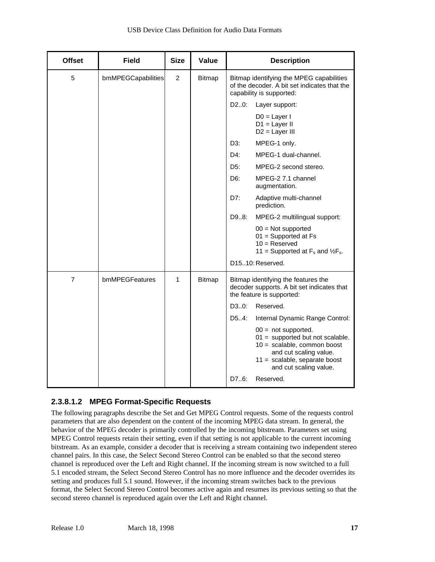| <b>Offset</b>  | <b>Field</b>       | <b>Size</b>  | Value         | <b>Description</b>                                                                                                                                                                  |
|----------------|--------------------|--------------|---------------|-------------------------------------------------------------------------------------------------------------------------------------------------------------------------------------|
| 5              | bmMPEGCapabilities | 2            | <b>Bitmap</b> | Bitmap identifying the MPEG capabilities<br>of the decoder. A bit set indicates that the<br>capability is supported:                                                                |
|                |                    |              |               | D20:<br>Layer support:                                                                                                                                                              |
|                |                    |              |               | $D0 = Layer I$<br>$D1 = Layer II$<br>$D2 = Layer III$                                                                                                                               |
|                |                    |              |               | D3:<br>MPEG-1 only.                                                                                                                                                                 |
|                |                    |              |               | D4:<br>MPEG-1 dual-channel.                                                                                                                                                         |
|                |                    |              |               | D5:<br>MPEG-2 second stereo.                                                                                                                                                        |
|                |                    |              |               | MPEG-2 7.1 channel<br>D6:<br>augmentation.                                                                                                                                          |
|                |                    |              |               | D7:<br>Adaptive multi-channel<br>prediction.                                                                                                                                        |
|                |                    |              |               | MPEG-2 multilingual support:<br>D98:                                                                                                                                                |
|                |                    |              |               | $00 = Not supported$<br>$01 =$ Supported at Fs<br>$10 =$ Reserved<br>11 = Supported at $F_s$ and $\frac{1}{2}F_s$ .                                                                 |
|                |                    |              |               | D <sub>15</sub> 10: Reserved.                                                                                                                                                       |
| $\overline{7}$ | bmMPEGFeatures     | $\mathbf{1}$ | <b>Bitmap</b> | Bitmap identifying the features the<br>decoder supports. A bit set indicates that<br>the feature is supported:                                                                      |
|                |                    |              |               | D3.0:<br>Reserved.                                                                                                                                                                  |
|                |                    |              |               | D54:<br>Internal Dynamic Range Control:                                                                                                                                             |
|                |                    |              |               | $00 = not supported.$<br>$01 =$ supported but not scalable.<br>$10 =$ scalable, common boost<br>and cut scaling value.<br>$11 =$ scalable, separate boost<br>and cut scaling value. |
|                |                    |              |               | D76:<br>Reserved.                                                                                                                                                                   |

#### **2.3.8.1.2 MPEG Format-Specific Requests**

The following paragraphs describe the Set and Get MPEG Control requests. Some of the requests control parameters that are also dependent on the content of the incoming MPEG data stream. In general, the behavior of the MPEG decoder is primarily controlled by the incoming bitstream. Parameters set using MPEG Control requests retain their setting, even if that setting is not applicable to the current incoming bitstream. As an example, consider a decoder that is receiving a stream containing two independent stereo channel pairs. In this case, the Select Second Stereo Control can be enabled so that the second stereo channel is reproduced over the Left and Right channel. If the incoming stream is now switched to a full 5.1 encoded stream, the Select Second Stereo Control has no more influence and the decoder overrides its setting and produces full 5.1 sound. However, if the incoming stream switches back to the previous format, the Select Second Stereo Control becomes active again and resumes its previous setting so that the second stereo channel is reproduced again over the Left and Right channel.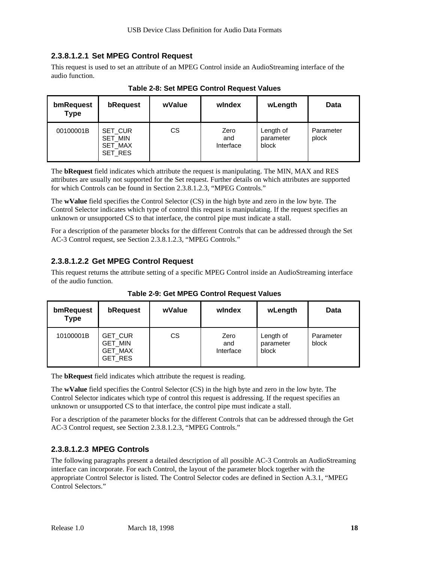#### **2.3.8.1.2.1 Set MPEG Control Request**

This request is used to set an attribute of an MPEG Control inside an AudioStreaming interface of the audio function.

| bmRequest<br><b>Type</b> | bRequest                                 | wValue | windex                   | wLength                         | <b>Data</b>        |
|--------------------------|------------------------------------------|--------|--------------------------|---------------------------------|--------------------|
| 00100001B                | SET_CUR<br>SET_MIN<br>SET_MAX<br>SET_RES | СS     | Zero<br>and<br>Interface | Length of<br>parameter<br>block | Parameter<br>plock |

**Table 2-8: Set MPEG Control Request Values**

The **bRequest** field indicates which attribute the request is manipulating. The MIN, MAX and RES attributes are usually not supported for the Set request. Further details on which attributes are supported for which Controls can be found in Section 2.3.8.1.2.3, "MPEG Controls."

The **wValue** field specifies the Control Selector (CS) in the high byte and zero in the low byte. The Control Selector indicates which type of control this request is manipulating. If the request specifies an unknown or unsupported CS to that interface, the control pipe must indicate a stall.

For a description of the parameter blocks for the different Controls that can be addressed through the Set AC-3 Control request, see Section 2.3.8.1.2.3, "MPEG Controls."

#### **2.3.8.1.2.2 Get MPEG Control Request**

This request returns the attribute setting of a specific MPEG Control inside an AudioStreaming interface of the audio function.

| bmRequest<br><b>Type</b> | bRequest                                               | wValue | windex                   | wLength                         | Data               |
|--------------------------|--------------------------------------------------------|--------|--------------------------|---------------------------------|--------------------|
| 10100001B                | <b>GET CUR</b><br>GET_MIN<br><b>GET MAX</b><br>GET_RES | СS     | Zero<br>and<br>Interface | Length of<br>parameter<br>block | Parameter<br>block |

**Table 2-9: Get MPEG Control Request Values**

The **bRequest** field indicates which attribute the request is reading.

The **wValue** field specifies the Control Selector (CS) in the high byte and zero in the low byte. The Control Selector indicates which type of control this request is addressing. If the request specifies an unknown or unsupported CS to that interface, the control pipe must indicate a stall.

For a description of the parameter blocks for the different Controls that can be addressed through the Get AC-3 Control request, see Section 2.3.8.1.2.3, "MPEG Controls."

#### **2.3.8.1.2.3 MPEG Controls**

The following paragraphs present a detailed description of all possible AC-3 Controls an AudioStreaming interface can incorporate. For each Control, the layout of the parameter block together with the appropriate Control Selector is listed. The Control Selector codes are defined in Section A.3.1, "MPEG Control Selectors."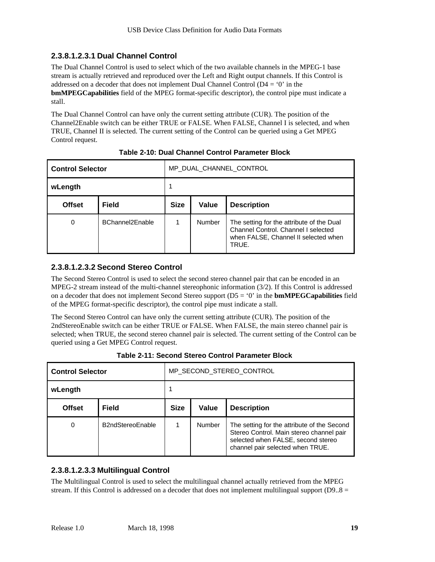#### **2.3.8.1.2.3.1 Dual Channel Control**

The Dual Channel Control is used to select which of the two available channels in the MPEG-1 base stream is actually retrieved and reproduced over the Left and Right output channels. If this Control is addressed on a decoder that does not implement Dual Channel Control ( $D4 = '0'$ ) in the **bmMPEGCapabilities** field of the MPEG format-specific descriptor), the control pipe must indicate a stall.

The Dual Channel Control can have only the current setting attribute (CUR). The position of the Channel2Enable switch can be either TRUE or FALSE. When FALSE, Channel I is selected, and when TRUE, Channel II is selected. The current setting of the Control can be queried using a Get MPEG Control request.

| <b>Control Selector</b> |                 | MP_DUAL_CHANNEL_CONTROL |               |                                                                                                                                   |
|-------------------------|-----------------|-------------------------|---------------|-----------------------------------------------------------------------------------------------------------------------------------|
| wLength                 | 1               |                         |               |                                                                                                                                   |
| <b>Offset</b>           | <b>Field</b>    | <b>Size</b>             | Value         | <b>Description</b>                                                                                                                |
| 0                       | BChannel2Enable |                         | <b>Number</b> | The setting for the attribute of the Dual<br>Channel Control, Channel I selected<br>when FALSE, Channel II selected when<br>TRUE. |

**Table 2-10: Dual Channel Control Parameter Block**

#### **2.3.8.1.2.3.2 Second Stereo Control**

The Second Stereo Control is used to select the second stereo channel pair that can be encoded in an MPEG-2 stream instead of the multi-channel stereophonic information (3/2). If this Control is addressed on a decoder that does not implement Second Stereo support (D5 = '0' in the **bmMPEGCapabilities** field of the MPEG format-specific descriptor), the control pipe must indicate a stall.

The Second Stereo Control can have only the current setting attribute (CUR). The position of the 2ndStereoEnable switch can be either TRUE or FALSE. When FALSE, the main stereo channel pair is selected; when TRUE, the second stereo channel pair is selected. The current setting of the Control can be queried using a Get MPEG Control request.

| <b>Control Selector</b> |                  | MP SECOND STEREO CONTROL |        |                                                                                                                                                                   |
|-------------------------|------------------|--------------------------|--------|-------------------------------------------------------------------------------------------------------------------------------------------------------------------|
| wLength                 |                  |                          |        |                                                                                                                                                                   |
| <b>Offset</b>           | <b>Field</b>     | <b>Size</b>              | Value  | <b>Description</b>                                                                                                                                                |
| 0                       | B2ndStereoEnable |                          | Number | The setting for the attribute of the Second<br>Stereo Control. Main stereo channel pair<br>selected when FALSE, second stereo<br>channel pair selected when TRUE. |

**Table 2-11: Second Stereo Control Parameter Block**

#### **2.3.8.1.2.3.3 Multilingual Control**

The Multilingual Control is used to select the multilingual channel actually retrieved from the MPEG stream. If this Control is addressed on a decoder that does not implement multilingual support ( $D9.08 =$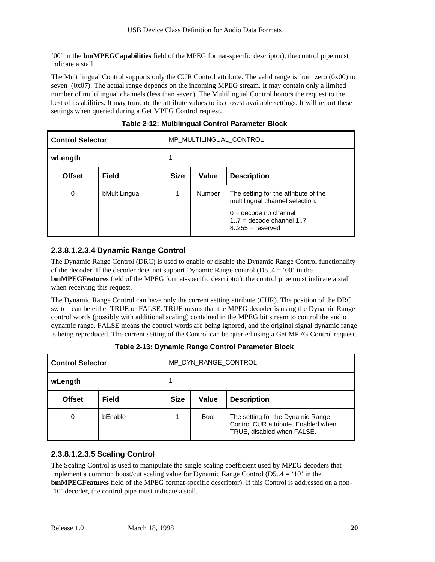'00' in the **bmMPEGCapabilities** field of the MPEG format-specific descriptor), the control pipe must indicate a stall.

The Multilingual Control supports only the CUR Control attribute. The valid range is from zero  $(0x00)$  to seven (0x07). The actual range depends on the incoming MPEG stream. It may contain only a limited number of multilingual channels (less than seven). The Multilingual Control honors the request to the best of its abilities. It may truncate the attribute values to its closest available settings. It will report these settings when queried during a Get MPEG Control request.

| <b>Control Selector</b> |               |             |        | MP_MULTILINGUAL_CONTROL                                                                                                                                |  |
|-------------------------|---------------|-------------|--------|--------------------------------------------------------------------------------------------------------------------------------------------------------|--|
| wLength                 |               |             |        |                                                                                                                                                        |  |
| <b>Offset</b>           | <b>Field</b>  | <b>Size</b> | Value  | <b>Description</b>                                                                                                                                     |  |
| 0                       | bMultiLingual | 1           | Number | The setting for the attribute of the<br>multilingual channel selection:<br>$0 =$ decode no channel<br>$17$ = decode channel $17$<br>$8.255$ = reserved |  |

| Table 2-12: Multilingual Control Parameter Block |  |  |
|--------------------------------------------------|--|--|
|--------------------------------------------------|--|--|

#### **2.3.8.1.2.3.4 Dynamic Range Control**

The Dynamic Range Control (DRC) is used to enable or disable the Dynamic Range Control functionality of the decoder. If the decoder does not support Dynamic Range control  $(D5..4 = 0.00)$  in the **bmMPEGFeatures** field of the MPEG format-specific descriptor), the control pipe must indicate a stall when receiving this request.

The Dynamic Range Control can have only the current setting attribute (CUR). The position of the DRC switch can be either TRUE or FALSE. TRUE means that the MPEG decoder is using the Dynamic Range control words (possibly with additional scaling) contained in the MPEG bit stream to control the audio dynamic range. FALSE means the control words are being ignored, and the original signal dynamic range is being reproduced. The current setting of the Control can be queried using a Get MPEG Control request.

| <b>Control Selector</b> |              |             | MP DYN RANGE CONTROL |                                                                                                        |  |
|-------------------------|--------------|-------------|----------------------|--------------------------------------------------------------------------------------------------------|--|
| wLength                 |              |             |                      |                                                                                                        |  |
| <b>Offset</b>           | <b>Field</b> | <b>Size</b> | Value                | <b>Description</b>                                                                                     |  |
| 0                       | bEnable      |             | <b>Bool</b>          | The setting for the Dynamic Range<br>Control CUR attribute. Enabled when<br>TRUE, disabled when FALSE. |  |

**Table 2-13: Dynamic Range Control Parameter Block**

#### **2.3.8.1.2.3.5 Scaling Control**

The Scaling Control is used to manipulate the single scaling coefficient used by MPEG decoders that implement a common boost/cut scaling value for Dynamic Range Control  $(D5.04 = 10)$  in the **bmMPEGFeatures** field of the MPEG format-specific descriptor). If this Control is addressed on a non- '10' decoder, the control pipe must indicate a stall.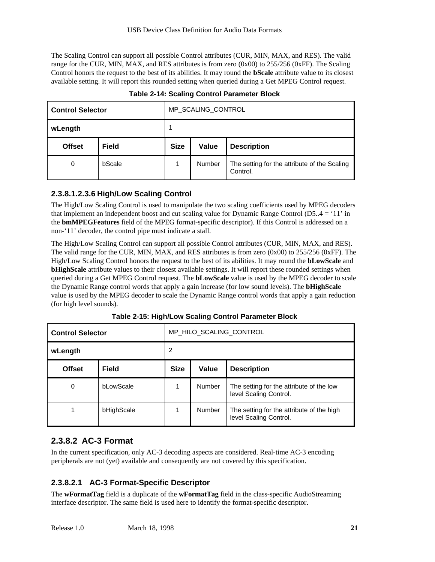The Scaling Control can support all possible Control attributes (CUR, MIN, MAX, and RES). The valid range for the CUR, MIN, MAX, and RES attributes is from zero (0x00) to 255/256 (0xFF). The Scaling Control honors the request to the best of its abilities. It may round the **bScale** attribute value to its closest available setting. It will report this rounded setting when queried during a Get MPEG Control request.

| <b>Control Selector</b> |              |             | MP SCALING CONTROL |                                                          |
|-------------------------|--------------|-------------|--------------------|----------------------------------------------------------|
| wLength                 |              | 4           |                    |                                                          |
| <b>Offset</b>           | <b>Field</b> | <b>Size</b> | Value              | <b>Description</b>                                       |
| 0                       | bScale       | 1           | Number             | The setting for the attribute of the Scaling<br>Control. |

| <b>Table 2-14: Scaling Control Parameter Block</b> |  |
|----------------------------------------------------|--|
|----------------------------------------------------|--|

#### **2.3.8.1.2.3.6 High/Low Scaling Control**

The High/Low Scaling Control is used to manipulate the two scaling coefficients used by MPEG decoders that implement an independent boost and cut scaling value for Dynamic Range Control  $(D5.04 = '11'$  in the **bmMPEGFeatures** field of the MPEG format-specific descriptor). If this Control is addressed on a non-'11' decoder, the control pipe must indicate a stall.

The High/Low Scaling Control can support all possible Control attributes (CUR, MIN, MAX, and RES). The valid range for the CUR, MIN, MAX, and RES attributes is from zero (0x00) to 255/256 (0xFF). The High/Low Scaling Control honors the request to the best of its abilities. It may round the **bLowScale** and **bHighScale** attribute values to their closest available settings. It will report these rounded settings when queried during a Get MPEG Control request. The **bLowScale** value is used by the MPEG decoder to scale the Dynamic Range control words that apply a gain increase (for low sound levels). The **bHighScale** value is used by the MPEG decoder to scale the Dynamic Range control words that apply a gain reduction (for high level sounds).

| <b>Control Selector</b> |              | MP_HILO_SCALING_CONTROL |        |                                                                     |  |  |
|-------------------------|--------------|-------------------------|--------|---------------------------------------------------------------------|--|--|
| wLength                 |              | 2                       |        |                                                                     |  |  |
| <b>Offset</b>           | <b>Field</b> | <b>Size</b>             | Value  | <b>Description</b>                                                  |  |  |
| 0                       | bLowScale    |                         | Number | The setting for the attribute of the low<br>level Scaling Control.  |  |  |
|                         | bHighScale   |                         | Number | The setting for the attribute of the high<br>level Scaling Control. |  |  |

**Table 2-15: High/Low Scaling Control Parameter Block**

# **2.3.8.2 AC-3 Format**

In the current specification, only AC-3 decoding aspects are considered. Real-time AC-3 encoding peripherals are not (yet) available and consequently are not covered by this specification.

#### **2.3.8.2.1 AC-3 Format-Specific Descriptor**

The **wFormatTag** field is a duplicate of the **wFormatTag** field in the class-specific AudioStreaming interface descriptor. The same field is used here to identify the format-specific descriptor.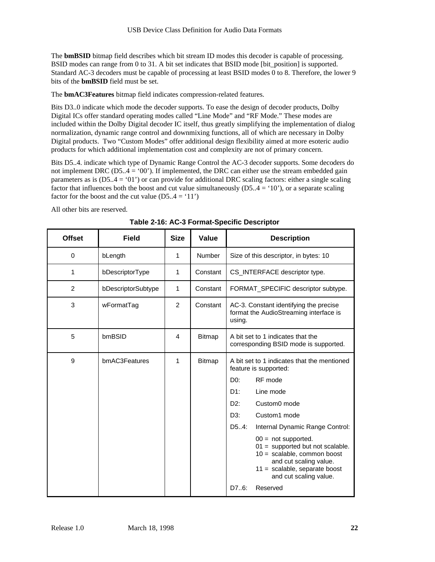The **bmBSID** bitmap field describes which bit stream ID modes this decoder is capable of processing. BSID modes can range from 0 to 31. A bit set indicates that BSID mode [bit\_position] is supported. Standard AC-3 decoders must be capable of processing at least BSID modes 0 to 8. Therefore, the lower 9 bits of the **bmBSID** field must be set.

The **bmAC3Features** bitmap field indicates compression-related features.

Bits D3..0 indicate which mode the decoder supports. To ease the design of decoder products, Dolby Digital ICs offer standard operating modes called "Line Mode" and "RF Mode." These modes are included within the Dolby Digital decoder IC itself, thus greatly simplifying the implementation of dialog normalization, dynamic range control and downmixing functions, all of which are necessary in Dolby Digital products. Two "Custom Modes" offer additional design flexibility aimed at more esoteric audio products for which additional implementation cost and complexity are not of primary concern.

Bits D5..4. indicate which type of Dynamic Range Control the AC-3 decoder supports. Some decoders do not implement DRC ( $D5.A = '00'$ ). If implemented, the DRC can either use the stream embedded gain parameters as is  $(D5.4 - 01')$  or can provide for additional DRC scaling factors: either a single scaling factor that influences both the boost and cut value simultaneously  $(D5<sub>1</sub>.4 = '10')$ , or a separate scaling factor for the boost and the cut value  $(D5..4 = '11')$ 

All other bits are reserved.

| Table 2-16: AC-3 Format-Specific Descriptor |  |  |  |
|---------------------------------------------|--|--|--|
|                                             |  |  |  |

| <b>Offset</b>  | <b>Field</b>       | <b>Size</b>    | Value         | <b>Description</b>                                                                                                                                                                  |
|----------------|--------------------|----------------|---------------|-------------------------------------------------------------------------------------------------------------------------------------------------------------------------------------|
| 0              | bLength            | 1              | Number        | Size of this descriptor, in bytes: 10                                                                                                                                               |
| 1              | bDescriptorType    | $\mathbf{1}$   | Constant      | CS_INTERFACE descriptor type.                                                                                                                                                       |
| $\overline{2}$ | bDescriptorSubtype | 1              | Constant      | FORMAT_SPECIFIC descriptor subtype.                                                                                                                                                 |
| 3              | wFormatTag         | $\overline{2}$ | Constant      | AC-3. Constant identifying the precise<br>format the AudioStreaming interface is<br>using.                                                                                          |
| 5              | bmBSID             | 4              | <b>Bitmap</b> | A bit set to 1 indicates that the<br>corresponding BSID mode is supported.                                                                                                          |
| 9              | bmAC3Features      | 1              | <b>Bitmap</b> | A bit set to 1 indicates that the mentioned<br>feature is supported:                                                                                                                |
|                |                    |                |               | RF mode<br>DO:                                                                                                                                                                      |
|                |                    |                |               | D1:<br>Line mode                                                                                                                                                                    |
|                |                    |                |               | D2:<br>Custom0 mode                                                                                                                                                                 |
|                |                    |                |               | D3:<br>Custom1 mode                                                                                                                                                                 |
|                |                    |                |               | D54:<br>Internal Dynamic Range Control:                                                                                                                                             |
|                |                    |                |               | $00 = not supported.$<br>$01 =$ supported but not scalable.<br>$10 =$ scalable, common boost<br>and cut scaling value.<br>$11 =$ scalable, separate boost<br>and cut scaling value. |
|                |                    |                |               | D76:<br>Reserved                                                                                                                                                                    |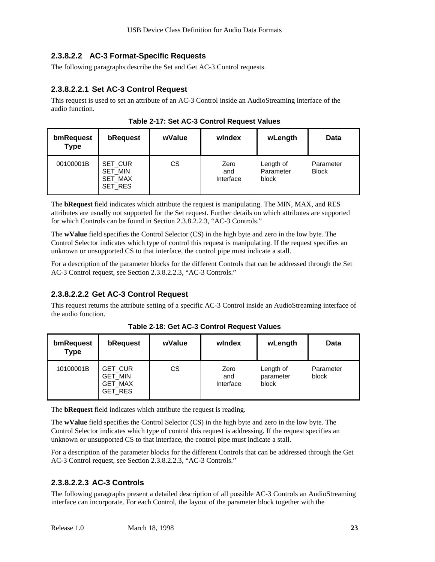#### **2.3.8.2.2 AC-3 Format-Specific Requests**

The following paragraphs describe the Set and Get AC-3 Control requests.

#### **2.3.8.2.2.1 Set AC-3 Control Request**

This request is used to set an attribute of an AC-3 Control inside an AudioStreaming interface of the audio function.

| bmRequest<br><b>Type</b> | bRequest                                 | wValue | windex                   | wLength                         | Data                      |
|--------------------------|------------------------------------------|--------|--------------------------|---------------------------------|---------------------------|
| 00100001B                | SET_CUR<br>SET_MIN<br>SET_MAX<br>SET_RES | СS     | Zero<br>and<br>Interface | Length of<br>Parameter<br>block | Parameter<br><b>Block</b> |

**Table 2-17: Set AC-3 Control Request Values**

The **bRequest** field indicates which attribute the request is manipulating. The MIN, MAX, and RES attributes are usually not supported for the Set request. Further details on which attributes are supported for which Controls can be found in Section 2.3.8.2.2.3, "AC-3 Controls."

The **wValue** field specifies the Control Selector (CS) in the high byte and zero in the low byte. The Control Selector indicates which type of control this request is manipulating. If the request specifies an unknown or unsupported CS to that interface, the control pipe must indicate a stall.

For a description of the parameter blocks for the different Controls that can be addressed through the Set AC-3 Control request, see Section 2.3.8.2.2.3, "AC-3 Controls."

#### **2.3.8.2.2.2 Get AC-3 Control Request**

This request returns the attribute setting of a specific AC-3 Control inside an AudioStreaming interface of the audio function.

| bmRequest<br><b>Type</b> | bRequest                                               | wValue | windex                   | wLength                         | Data               |
|--------------------------|--------------------------------------------------------|--------|--------------------------|---------------------------------|--------------------|
| 10100001B                | <b>GET CUR</b><br><b>GET_MIN</b><br>GET_MAX<br>GET_RES | СS     | Zero<br>and<br>Interface | Length of<br>parameter<br>block | Parameter<br>block |

**Table 2-18: Get AC-3 Control Request Values**

The **bRequest** field indicates which attribute the request is reading.

The **wValue** field specifies the Control Selector (CS) in the high byte and zero in the low byte. The Control Selector indicates which type of control this request is addressing. If the request specifies an unknown or unsupported CS to that interface, the control pipe must indicate a stall.

For a description of the parameter blocks for the different Controls that can be addressed through the Get AC-3 Control request, see Section 2.3.8.2.2.3, "AC-3 Controls."

#### **2.3.8.2.2.3 AC-3 Controls**

The following paragraphs present a detailed description of all possible AC-3 Controls an AudioStreaming interface can incorporate. For each Control, the layout of the parameter block together with the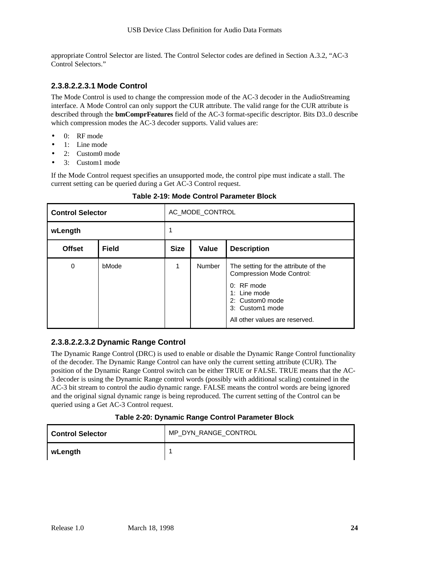appropriate Control Selector are listed. The Control Selector codes are defined in Section A.3.2, "AC-3 Control Selectors."

#### **2.3.8.2.2.3.1 Mode Control**

The Mode Control is used to change the compression mode of the AC-3 decoder in the AudioStreaming interface. A Mode Control can only support the CUR attribute. The valid range for the CUR attribute is described through the **bmComprFeatures** field of the AC-3 format-specific descriptor. Bits D3..0 describe which compression modes the AC-3 decoder supports. Valid values are:

- 0: RF mode
- 1: Line mode
- 2: Custom0 mode
- 3: Custom1 mode

If the Mode Control request specifies an unsupported mode, the control pipe must indicate a stall. The current setting can be queried during a Get AC-3 Control request.

| <b>Control Selector</b> |              |             | AC_MODE_CONTROL |                                                                                                      |
|-------------------------|--------------|-------------|-----------------|------------------------------------------------------------------------------------------------------|
| wLength                 |              |             |                 |                                                                                                      |
| <b>Offset</b>           | <b>Field</b> | <b>Size</b> | Value           | <b>Description</b>                                                                                   |
| 0                       | bMode        | 1           | Number          | The setting for the attribute of the<br><b>Compression Mode Control:</b>                             |
|                         |              |             |                 | $0:$ RF mode<br>1: Line mode<br>2: Custom0 mode<br>3: Custom1 mode<br>All other values are reserved. |

**Table 2-19: Mode Control Parameter Block**

#### **2.3.8.2.2.3.2 Dynamic Range Control**

The Dynamic Range Control (DRC) is used to enable or disable the Dynamic Range Control functionality of the decoder. The Dynamic Range Control can have only the current setting attribute (CUR). The position of the Dynamic Range Control switch can be either TRUE or FALSE. TRUE means that the AC-3 decoder is using the Dynamic Range control words (possibly with additional scaling) contained in the AC-3 bit stream to control the audio dynamic range. FALSE means the control words are being ignored and the original signal dynamic range is being reproduced. The current setting of the Control can be queried using a Get AC-3 Control request.

#### **Table 2-20: Dynamic Range Control Parameter Block**

| <b>Control Selector</b> | MP_DYN_RANGE_CONTROL |
|-------------------------|----------------------|
| wLength                 |                      |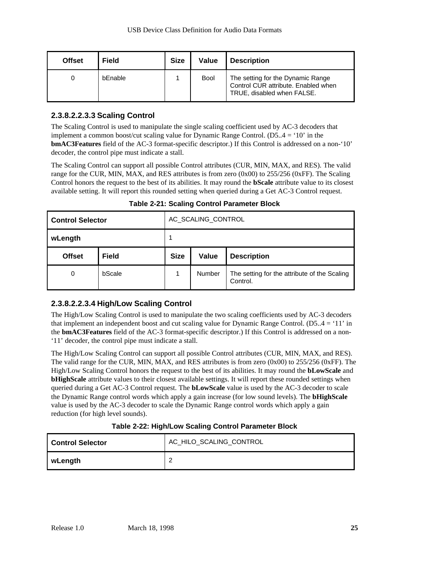| <b>Offset</b> | <b>Field</b> | <b>Size</b> | Value       | <b>Description</b>                                                                                     |
|---------------|--------------|-------------|-------------|--------------------------------------------------------------------------------------------------------|
|               | bEnable      |             | <b>Bool</b> | The setting for the Dynamic Range<br>Control CUR attribute. Enabled when<br>TRUE, disabled when FALSE. |

#### **2.3.8.2.2.3.3 Scaling Control**

The Scaling Control is used to manipulate the single scaling coefficient used by AC-3 decoders that implement a common boost/cut scaling value for Dynamic Range Control. (D5..4 = '10' in the **bmAC3Features** field of the AC-3 format-specific descriptor.) If this Control is addressed on a non-'10' decoder, the control pipe must indicate a stall.

The Scaling Control can support all possible Control attributes (CUR, MIN, MAX, and RES). The valid range for the CUR, MIN, MAX, and RES attributes is from zero (0x00) to 255/256 (0xFF). The Scaling Control honors the request to the best of its abilities. It may round the **bScale** attribute value to its closest available setting. It will report this rounded setting when queried during a Get AC-3 Control request.

| <b>Control Selector</b> | AC_SCALING_CONTROL |             |        |                                                          |  |
|-------------------------|--------------------|-------------|--------|----------------------------------------------------------|--|
| wLength                 |                    |             |        |                                                          |  |
| <b>Offset</b>           | <b>Field</b>       | <b>Size</b> | Value  | <b>Description</b>                                       |  |
| 0                       | bScale             | 1           | Number | The setting for the attribute of the Scaling<br>Control. |  |

**Table 2-21: Scaling Control Parameter Block**

#### **2.3.8.2.2.3.4 High/Low Scaling Control**

The High/Low Scaling Control is used to manipulate the two scaling coefficients used by AC-3 decoders that implement an independent boost and cut scaling value for Dynamic Range Control. ( $D5.4 = '11'$  in the **bmAC3Features** field of the AC-3 format-specific descriptor.) If this Control is addressed on a non- '11' decoder, the control pipe must indicate a stall.

The High/Low Scaling Control can support all possible Control attributes (CUR, MIN, MAX, and RES). The valid range for the CUR, MIN, MAX, and RES attributes is from zero (0x00) to 255/256 (0xFF). The High/Low Scaling Control honors the request to the best of its abilities. It may round the **bLowScale** and **bHighScale** attribute values to their closest available settings. It will report these rounded settings when queried during a Get AC-3 Control request. The **bLowScale** value is used by the AC-3 decoder to scale the Dynamic Range control words which apply a gain increase (for low sound levels). The **bHighScale** value is used by the AC-3 decoder to scale the Dynamic Range control words which apply a gain reduction (for high level sounds).

#### **Table 2-22: High/Low Scaling Control Parameter Block**

| <b>Control Selector</b> | AC_HILO_SCALING_CONTROL |
|-------------------------|-------------------------|
| wLength                 |                         |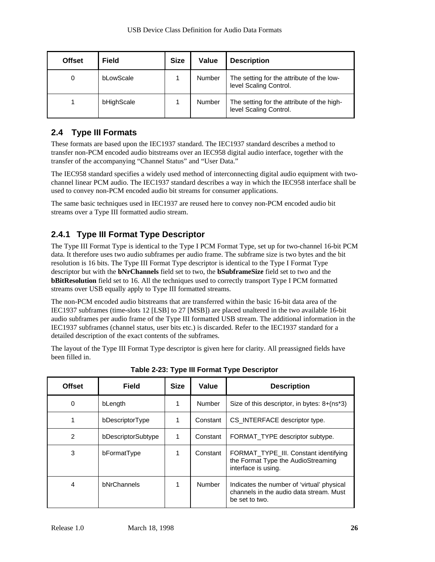| <b>Offset</b> | <b>Field</b> | <b>Size</b> | Value  | <b>Description</b>                                                   |
|---------------|--------------|-------------|--------|----------------------------------------------------------------------|
| 0             | bLowScale    |             | Number | The setting for the attribute of the low-<br>level Scaling Control.  |
|               | bHighScale   |             | Number | The setting for the attribute of the high-<br>level Scaling Control. |

# **2.4 Type III Formats**

These formats are based upon the IEC1937 standard. The IEC1937 standard describes a method to transfer non-PCM encoded audio bitstreams over an IEC958 digital audio interface, together with the transfer of the accompanying "Channel Status" and "User Data."

The IEC958 standard specifies a widely used method of interconnecting digital audio equipment with twochannel linear PCM audio. The IEC1937 standard describes a way in which the IEC958 interface shall be used to convey non-PCM encoded audio bit streams for consumer applications.

The same basic techniques used in IEC1937 are reused here to convey non-PCM encoded audio bit streams over a Type III formatted audio stream.

# **2.4.1 Type III Format Type Descriptor**

The Type III Format Type is identical to the Type I PCM Format Type, set up for two-channel 16-bit PCM data. It therefore uses two audio subframes per audio frame. The subframe size is two bytes and the bit resolution is 16 bits. The Type III Format Type descriptor is identical to the Type I Format Type descriptor but with the **bNrChannels** field set to two, the **bSubframeSize** field set to two and the **bBitResolution** field set to 16. All the techniques used to correctly transport Type I PCM formatted streams over USB equally apply to Type III formatted streams.

The non-PCM encoded audio bitstreams that are transferred within the basic 16-bit data area of the IEC1937 subframes (time-slots 12 [LSB] to 27 [MSB]) are placed unaltered in the two available 16-bit audio subframes per audio frame of the Type III formatted USB stream. The additional information in the IEC1937 subframes (channel status, user bits etc.) is discarded. Refer to the IEC1937 standard for a detailed description of the exact contents of the subframes.

The layout of the Type III Format Type descriptor is given here for clarity. All preassigned fields have been filled in.

| <b>Offset</b> | Field              | <b>Size</b> | Value    | <b>Description</b>                                                                                      |
|---------------|--------------------|-------------|----------|---------------------------------------------------------------------------------------------------------|
| 0             | bLength            | 1           | Number   | Size of this descriptor, in bytes: $8+(ns^*3)$                                                          |
| 1             | bDescriptorType    | 1           | Constant | CS INTERFACE descriptor type.                                                                           |
| 2             | bDescriptorSubtype | 1           | Constant | FORMAT TYPE descriptor subtype.                                                                         |
| 3             | bFormatType        | 1           | Constant | FORMAT TYPE III. Constant identifying<br>the Format Type the AudioStreaming<br>interface is using.      |
| 4             | <b>bNrChannels</b> |             | Number   | Indicates the number of 'virtual' physical<br>channels in the audio data stream. Must<br>be set to two. |

**Table 2-23: Type III Format Type Descriptor**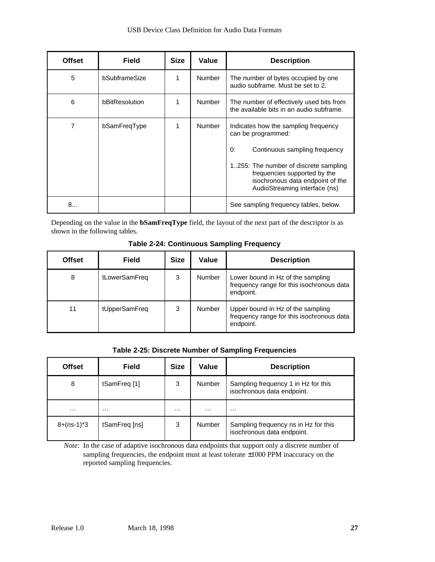| <b>Offset</b> | <b>Field</b>   | <b>Size</b> | Value         | <b>Description</b>                                                                                                                                                                                                                              |
|---------------|----------------|-------------|---------------|-------------------------------------------------------------------------------------------------------------------------------------------------------------------------------------------------------------------------------------------------|
| 5             | bSubframeSize  | 1           | <b>Number</b> | The number of bytes occupied by one<br>audio subframe. Must be set to 2.                                                                                                                                                                        |
| 6             | bBitResolution |             | <b>Number</b> | The number of effectively used bits from<br>the available bits in an audio subframe.                                                                                                                                                            |
| 7             | bSamFreqType   | 1           | <b>Number</b> | Indicates how the sampling frequency<br>can be programmed:<br>Continuous sampling frequency<br>0:<br>1255: The number of discrete sampling<br>frequencies supported by the<br>isochronous data endpoint of the<br>AudioStreaming interface (ns) |
| 8             |                |             |               | See sampling frequency tables, below.                                                                                                                                                                                                           |

Depending on the value in the **bSamFreqType** field, the layout of the next part of the descriptor is as shown in the following tables.

**Table 2-24: Continuous Sampling Frequency**

| <b>Offset</b> | <b>Field</b>  | <b>Size</b> | Value  | <b>Description</b>                                                                          |
|---------------|---------------|-------------|--------|---------------------------------------------------------------------------------------------|
| 8             | tLowerSamFreg | 3           | Number | Lower bound in Hz of the sampling<br>frequency range for this isochronous data<br>endpoint. |
| 11            | tUpperSamFreg | 3           | Number | Upper bound in Hz of the sampling<br>frequency range for this isochronous data<br>endpoint. |

#### **Table 2-25: Discrete Number of Sampling Frequencies**

| <b>Offset</b> | <b>Field</b>  | <b>Size</b> | Value         | <b>Description</b>                                                 |
|---------------|---------------|-------------|---------------|--------------------------------------------------------------------|
| 8             | tSamFreg [1]  | 3           | Number        | Sampling frequency 1 in Hz for this<br>isochronous data endpoint.  |
| $\cdots$      | $\cdots$      | $\cdots$    | .             | $\cdots$                                                           |
| $8+(ns-1)*3$  | tSamFreq [ns] | 3           | <b>Number</b> | Sampling frequency ns in Hz for this<br>isochronous data endpoint. |

*Note*: In the case of adaptive isochronous data endpoints that support only a discrete number of sampling frequencies, the endpoint must at least tolerate ±1000 PPM inaccuracy on the reported sampling frequencies.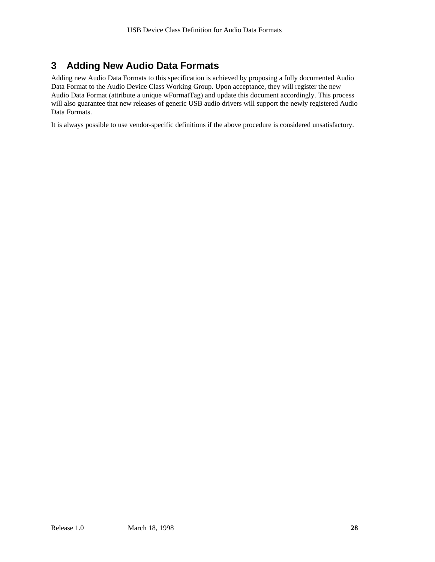# **3 Adding New Audio Data Formats**

Adding new Audio Data Formats to this specification is achieved by proposing a fully documented Audio Data Format to the Audio Device Class Working Group. Upon acceptance, they will register the new Audio Data Format (attribute a unique wFormatTag) and update this document accordingly. This process will also guarantee that new releases of generic USB audio drivers will support the newly registered Audio Data Formats.

It is always possible to use vendor-specific definitions if the above procedure is considered unsatisfactory.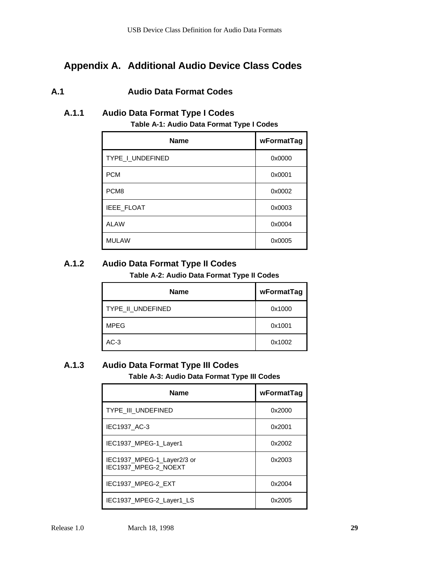# **Appendix A. Additional Audio Device Class Codes**

# **A.1 Audio Data Format Codes**

# **A.1.1 Audio Data Format Type I Codes**

**Table A-1: Audio Data Format Type I Codes**

| <b>Name</b>       | wFormatTag |
|-------------------|------------|
| TYPE_I_UNDEFINED  | 0x0000     |
| <b>PCM</b>        | 0x0001     |
| PCM <sub>8</sub>  | 0x0002     |
| <b>IEEE FLOAT</b> | 0x0003     |
| <b>ALAW</b>       | 0x0004     |
| <b>MULAW</b>      | 0x0005     |

# **A.1.2 Audio Data Format Type II Codes**

**Table A-2: Audio Data Format Type II Codes**

| <b>Name</b>       | wFormatTag |
|-------------------|------------|
| TYPE II UNDEFINED | 0x1000     |
| <b>MPEG</b>       | 0x1001     |
| $AC-3$            | 0x1002     |

# **A.1.3 Audio Data Format Type III Codes Table A-3: Audio Data Format Type III Codes**

| <b>Name</b>                                        | wFormatTag |
|----------------------------------------------------|------------|
| TYPE III UNDEFINED                                 | 0x2000     |
| IEC1937_AC-3                                       | 0x2001     |
| IEC1937 MPEG-1 Layer1                              | 0x2002     |
| IEC1937_MPEG-1_Layer2/3 or<br>IEC1937 MPEG-2 NOEXT | 0x2003     |
| IEC1937 MPEG-2 EXT                                 | 0x2004     |
| IEC1937_MPEG-2_Layer1_LS                           | 0x2005     |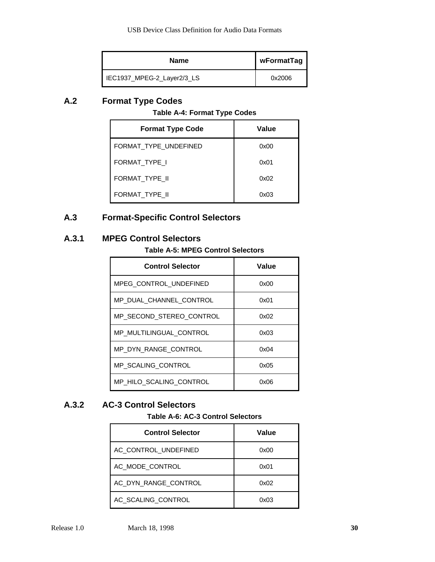| <b>Name</b>                | wFormatTag |
|----------------------------|------------|
| IEC1937_MPEG-2_Layer2/3_LS | 0x2006     |

# **A.2 Format Type Codes**

#### **Table A-4: Format Type Codes**

| <b>Format Type Code</b> | Value |
|-------------------------|-------|
| FORMAT TYPE UNDEFINED   | 0x00  |
| FORMAT TYPE I           | 0x01  |
| FORMAT TYPE II          | 0x02  |
| FORMAT TYPE II          | 0x03  |

# **A.3 Format-Specific Control Selectors**

#### **A.3.1 MPEG Control Selectors**

#### **Table A-5: MPEG Control Selectors**

| <b>Control Selector</b>        | Value |
|--------------------------------|-------|
| MPEG_CONTROL_UNDEFINED         | 0x00  |
| MP DUAL CHANNEL CONTROL        | 0x01  |
| MP SECOND STEREO CONTROL       | 0x02  |
| MP MULTILINGUAL CONTROL        | 0x03  |
| MP DYN RANGE CONTROL           | 0x04  |
| <b>MP SCALING CONTROL</b>      | 0x05  |
| <b>MP HILO SCALING CONTROL</b> | 0x06  |

# **A.3.2 AC-3 Control Selectors**

#### **Table A-6: AC-3 Control Selectors**

| <b>Control Selector</b> | Value |
|-------------------------|-------|
| AC CONTROL UNDEFINED    | 0x00  |
| AC MODE CONTROL         | 0x01  |
| AC DYN RANGE CONTROL    | 0x02  |
| AC SCALING CONTROL      | 0x03  |